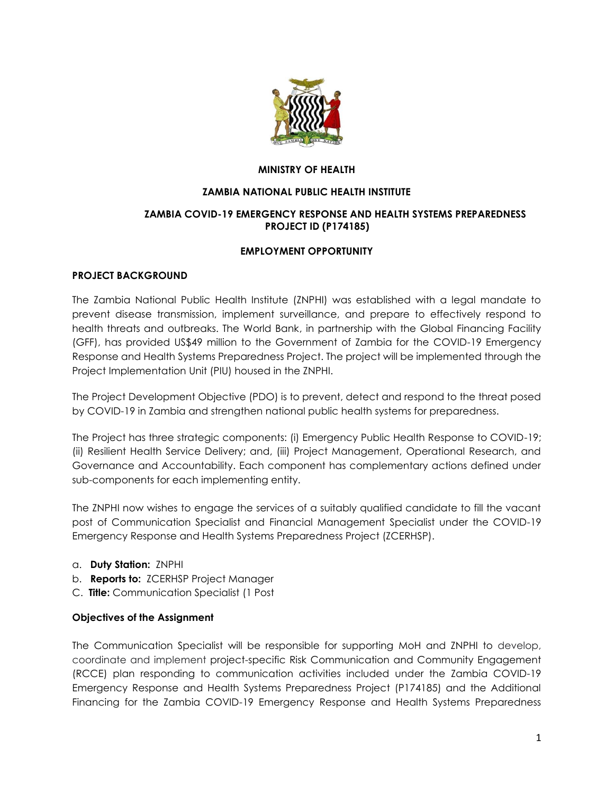

#### **MINISTRY OF HEALTH**

#### **ZAMBIA NATIONAL PUBLIC HEALTH INSTITUTE**

### **ZAMBIA COVID-19 EMERGENCY RESPONSE AND HEALTH SYSTEMS PREPAREDNESS PROJECT ID (P174185)**

### **EMPLOYMENT OPPORTUNITY**

#### **PROJECT BACKGROUND**

The Zambia National Public Health Institute (ZNPHI) was established with a legal mandate to prevent disease transmission, implement surveillance, and prepare to effectively respond to health threats and outbreaks. The World Bank, in partnership with the Global Financing Facility (GFF), has provided US\$49 million to the Government of Zambia for the COVID-19 Emergency Response and Health Systems Preparedness Project. The project will be implemented through the Project Implementation Unit (PIU) housed in the ZNPHI.

The Project Development Objective (PDO) is to prevent, detect and respond to the threat posed by COVID-19 in Zambia and strengthen national public health systems for preparedness.

The Project has three strategic components: (i) Emergency Public Health Response to COVID-19; (ii) Resilient Health Service Delivery; and, (iii) Project Management, Operational Research, and Governance and Accountability. Each component has complementary actions defined under sub-components for each implementing entity.

The ZNPHI now wishes to engage the services of a suitably qualified candidate to fill the vacant post of Communication Specialist and Financial Management Specialist under the COVID-19 Emergency Response and Health Systems Preparedness Project (ZCERHSP).

- a. **Duty Station:** ZNPHI
- b. **Reports to:** ZCERHSP Project Manager
- C. **Title:** Communication Specialist (1 Post

#### **Objectives of the Assignment**

The Communication Specialist will be responsible for supporting MoH and ZNPHI to develop, coordinate and implement project-specific Risk Communication and Community Engagement (RCCE) plan responding to communication activities included under the Zambia COVID-19 Emergency Response and Health Systems Preparedness Project (P174185) and the Additional Financing for the Zambia COVID-19 Emergency Response and Health Systems Preparedness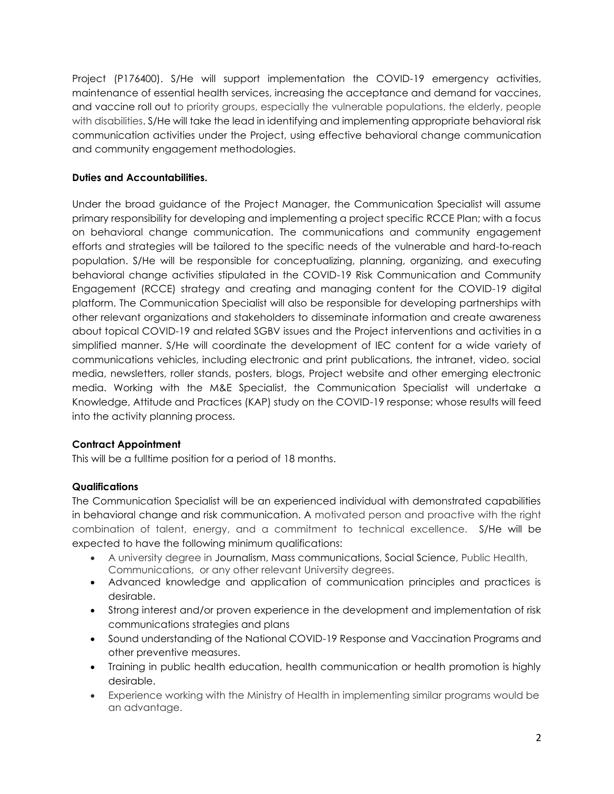Project (P176400). S/He will support implementation the COVID-19 emergency activities, maintenance of essential health services, increasing the acceptance and demand for vaccines, and vaccine roll out to priority groups, especially the vulnerable populations, the elderly, people with disabilities. S/He will take the lead in identifying and implementing appropriate behavioral risk communication activities under the Project, using effective behavioral change communication and community engagement methodologies.

## **Duties and Accountabilities.**

Under the broad guidance of the Project Manager, the Communication Specialist will assume primary responsibility for developing and implementing a project specific RCCE Plan; with a focus on behavioral change communication. The communications and community engagement efforts and strategies will be tailored to the specific needs of the vulnerable and hard-to-reach population. S/He will be responsible for conceptualizing, planning, organizing, and executing behavioral change activities stipulated in the COVID-19 Risk Communication and Community Engagement (RCCE) strategy and creating and managing content for the COVID-19 digital platform. The Communication Specialist will also be responsible for developing partnerships with other relevant organizations and stakeholders to disseminate information and create awareness about topical COVID-19 and related SGBV issues and the Project interventions and activities in a simplified manner. S/He will coordinate the development of IEC content for a wide variety of communications vehicles, including electronic and print publications, the intranet, video, social media, newsletters, roller stands, posters, blogs, Project website and other emerging electronic media. Working with the M&E Specialist, the Communication Specialist will undertake a Knowledge, Attitude and Practices (KAP) study on the COVID-19 response; whose results will feed into the activity planning process.

# **Contract Appointment**

This will be a fulltime position for a period of 18 months.

### **Qualifications**

The Communication Specialist will be an experienced individual with demonstrated capabilities in behavioral change and risk communication. A motivated person and proactive with the right combination of talent, energy, and a commitment to technical excellence. S/He will be expected to have the following minimum qualifications:

- A university degree in Journalism, Mass communications, Social Science, Public Health, Communications, or any other relevant University degrees.
- Advanced knowledge and application of communication principles and practices is desirable.
- Strong interest and/or proven experience in the development and implementation of risk communications strategies and plans
- Sound understanding of the National COVID-19 Response and Vaccination Programs and other preventive measures.
- Training in public health education, health communication or health promotion is highly desirable.
- Experience working with the Ministry of Health in implementing similar programs would be an advantage.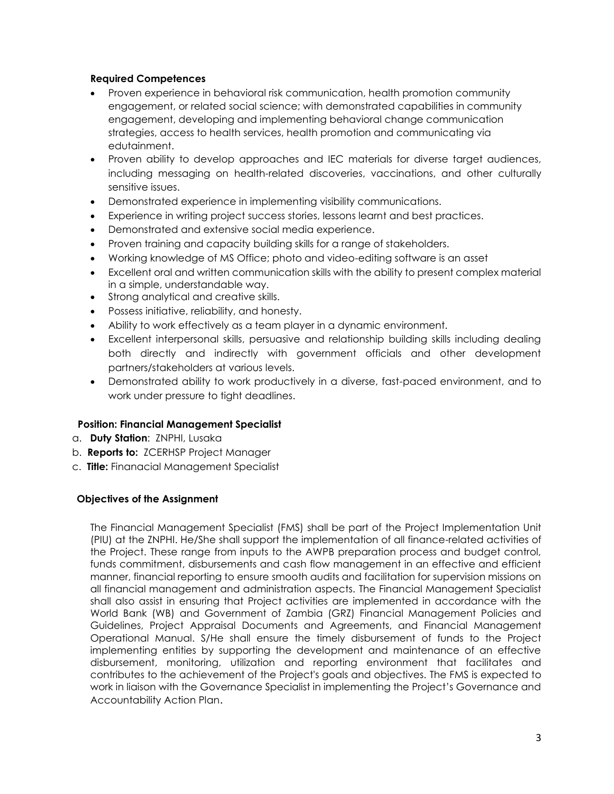#### **Required Competences**

- Proven experience in behavioral risk communication, health promotion community engagement, or related social science; with demonstrated capabilities in community engagement, developing and implementing behavioral change communication strategies, access to health services, health promotion and communicating via edutainment.
- Proven ability to develop approaches and IEC materials for diverse target audiences, including messaging on health-related discoveries, vaccinations, and other culturally sensitive issues.
- Demonstrated experience in implementing visibility communications.
- Experience in writing project success stories, lessons learnt and best practices.
- Demonstrated and extensive social media experience.
- Proven training and capacity building skills for a range of stakeholders.
- Working knowledge of MS Office; photo and video-editing software is an asset
- Excellent oral and written communication skills with the ability to present complex material in a simple, understandable way.
- Strong analytical and creative skills.
- Possess initiative, reliability, and honesty.
- Ability to work effectively as a team player in a dynamic environment.
- Excellent interpersonal skills, persuasive and relationship building skills including dealing both directly and indirectly with government officials and other development partners/stakeholders at various levels.
- Demonstrated ability to work productively in a diverse, fast-paced environment, and to work under pressure to tight deadlines.

### **Position: Financial Management Specialist**

- a. **Duty Station**: ZNPHI, Lusaka
- b. **Reports to:** ZCERHSP Project Manager
- c. **Title:** Finanacial Management Specialist

### **Objectives of the Assignment**

The Financial Management Specialist (FMS) shall be part of the Project Implementation Unit (PIU) at the ZNPHI. He/She shall support the implementation of all finance-related activities of the Project. These range from inputs to the AWPB preparation process and budget control, funds commitment, disbursements and cash flow management in an effective and efficient manner, financial reporting to ensure smooth audits and facilitation for supervision missions on all financial management and administration aspects. The Financial Management Specialist shall also assist in ensuring that Project activities are implemented in accordance with the World Bank (WB) and Government of Zambia (GRZ) Financial Management Policies and Guidelines, Project Appraisal Documents and Agreements, and Financial Management Operational Manual. S/He shall ensure the timely disbursement of funds to the Project implementing entities by supporting the development and maintenance of an effective disbursement, monitoring, utilization and reporting environment that facilitates and contributes to the achievement of the Project's goals and objectives. The FMS is expected to work in liaison with the Governance Specialist in implementing the Project's Governance and Accountability Action Plan.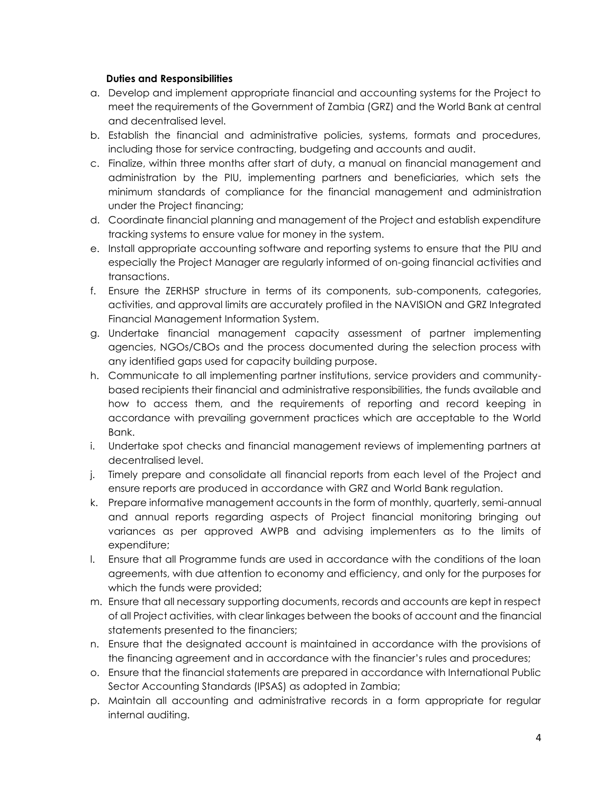#### **Duties and Responsibilities**

- a. Develop and implement appropriate financial and accounting systems for the Project to meet the requirements of the Government of Zambia (GRZ) and the World Bank at central and decentralised level.
- b. Establish the financial and administrative policies, systems, formats and procedures, including those for service contracting, budgeting and accounts and audit.
- c. Finalize, within three months after start of duty, a manual on financial management and administration by the PIU, implementing partners and beneficiaries, which sets the minimum standards of compliance for the financial management and administration under the Project financing;
- d. Coordinate financial planning and management of the Project and establish expenditure tracking systems to ensure value for money in the system.
- e. Install appropriate accounting software and reporting systems to ensure that the PIU and especially the Project Manager are regularly informed of on-going financial activities and transactions.
- f. Ensure the ZERHSP structure in terms of its components, sub-components, categories, activities, and approval limits are accurately profiled in the NAVISION and GRZ Integrated Financial Management Information System.
- g. Undertake financial management capacity assessment of partner implementing agencies, NGOs/CBOs and the process documented during the selection process with any identified gaps used for capacity building purpose.
- h. Communicate to all implementing partner institutions, service providers and communitybased recipients their financial and administrative responsibilities, the funds available and how to access them, and the requirements of reporting and record keeping in accordance with prevailing government practices which are acceptable to the World Bank.
- i. Undertake spot checks and financial management reviews of implementing partners at decentralised level.
- j. Timely prepare and consolidate all financial reports from each level of the Project and ensure reports are produced in accordance with GRZ and World Bank regulation.
- k. Prepare informative management accounts in the form of monthly, quarterly, semi-annual and annual reports regarding aspects of Project financial monitoring bringing out variances as per approved AWPB and advising implementers as to the limits of expenditure;
- l. Ensure that all Programme funds are used in accordance with the conditions of the loan agreements, with due attention to economy and efficiency, and only for the purposes for which the funds were provided;
- m. Ensure that all necessary supporting documents, records and accounts are kept in respect of all Project activities, with clear linkages between the books of account and the financial statements presented to the financiers;
- n. Ensure that the designated account is maintained in accordance with the provisions of the financing agreement and in accordance with the financier's rules and procedures;
- o. Ensure that the financial statements are prepared in accordance with International Public Sector Accounting Standards (IPSAS) as adopted in Zambia;
- p. Maintain all accounting and administrative records in a form appropriate for regular internal auditing.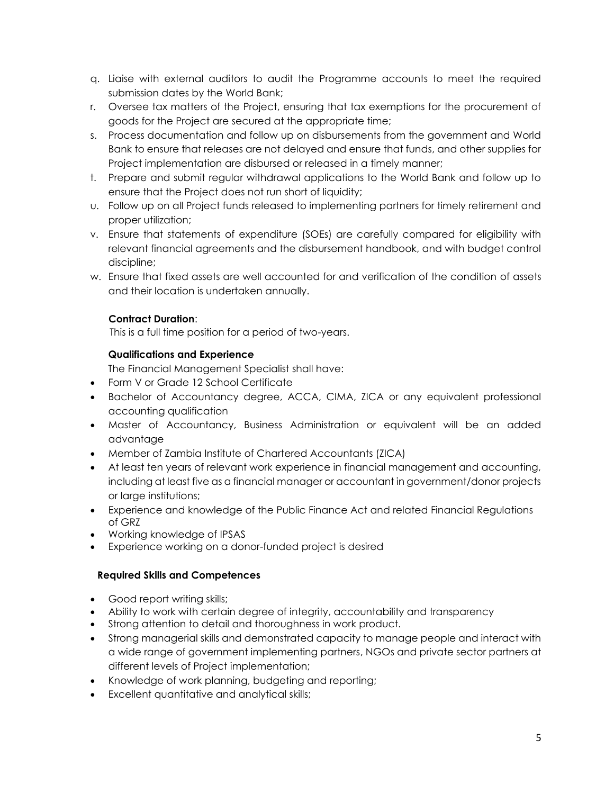- q. Liaise with external auditors to audit the Programme accounts to meet the required submission dates by the World Bank;
- r. Oversee tax matters of the Project, ensuring that tax exemptions for the procurement of goods for the Project are secured at the appropriate time;
- s. Process documentation and follow up on disbursements from the government and World Bank to ensure that releases are not delayed and ensure that funds, and other supplies for Project implementation are disbursed or released in a timely manner;
- t. Prepare and submit regular withdrawal applications to the World Bank and follow up to ensure that the Project does not run short of liquidity;
- u. Follow up on all Project funds released to implementing partners for timely retirement and proper utilization;
- v. Ensure that statements of expenditure (SOEs) are carefully compared for eligibility with relevant financial agreements and the disbursement handbook, and with budget control discipline;
- w. Ensure that fixed assets are well accounted for and verification of the condition of assets and their location is undertaken annually.

### **Contract Duration**:

This is a full time position for a period of two-years.

### **Qualifications and Experience**

The Financial Management Specialist shall have:

- Form V or Grade 12 School Certificate
- Bachelor of Accountancy degree, ACCA, CIMA, ZICA or any equivalent professional accounting qualification
- Master of Accountancy, Business Administration or equivalent will be an added advantage
- Member of Zambia Institute of Chartered Accountants (ZICA)
- At least ten years of relevant work experience in financial management and accounting, including at least five as a financial manager or accountant in government/donor projects or large institutions;
- Experience and knowledge of the Public Finance Act and related Financial Regulations of GRZ
- Working knowledge of IPSAS
- Experience working on a donor-funded project is desired

# **Required Skills and Competences**

- Good report writing skills;
- Ability to work with certain degree of integrity, accountability and transparency
- Strong attention to detail and thoroughness in work product.
- Strong managerial skills and demonstrated capacity to manage people and interact with a wide range of government implementing partners, NGOs and private sector partners at different levels of Project implementation;
- Knowledge of work planning, budgeting and reporting;
- Excellent quantitative and analytical skills;